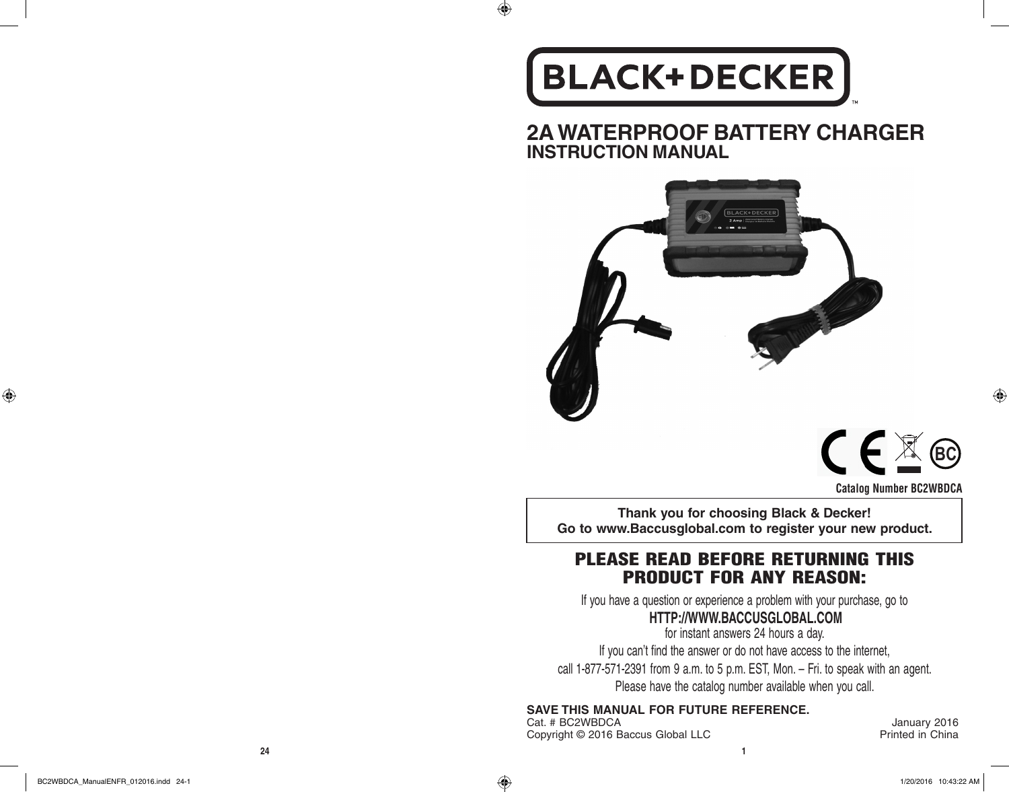## **BLACK+DECKER**

 $\bigoplus$ 

**2A WATERPROOF BATTERY CHARGER INSTRUCTION MANUAL**





♠

**Thank you for choosing Black & Decker! Go to www.Baccusglobal.com to register your new product.**

### PLEASE READ BEFORE RETURNING THIS PRODUCT FOR ANY REASON:

If you have a question or experience a problem with your purchase, go to

### **HTTP://WWW.BACCUSGLOBAL.COM**

for instant answers 24 hours a day.

If you can't find the answer or do not have access to the internet, call 1-877-571-2391 from 9 a.m. to 5 p.m. EST, Mon. – Fri. to speak with an agent. Please have the catalog number available when you call.

**SAVE THIS MANUAL FOR FUTURE REFERENCE.**

Cat. # BC2WBDCA January 2016<br>
Copyright © 2016 Baccus Global LLC **Category 1998** Printed in China Copyright © 2016 Baccus Global LLC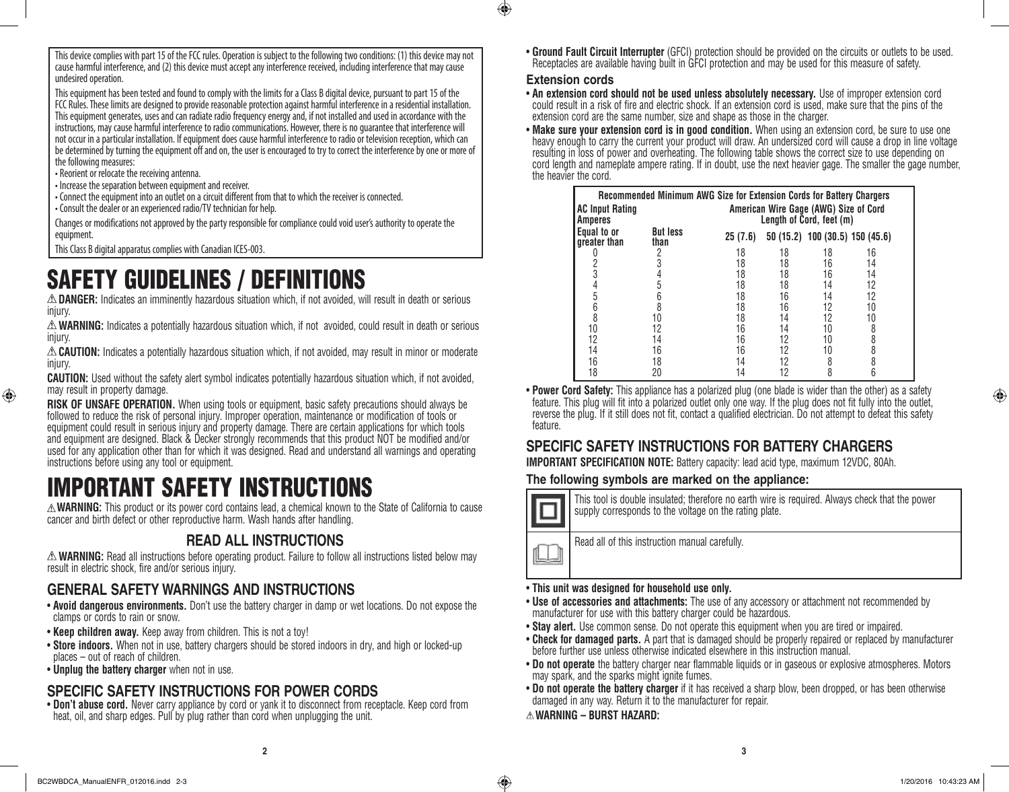This device complies with part 15 of the FCC rules. Operation is subject to the following two conditions: (1) this device may not cause harmful interference, and (2) this device must accept any interference received, including interference that may cause undesired operation.

This equipment has been tested and found to comply with the limits for a Class B digital device, pursuant to part 15 of the FCC Rules. These limits are designed to provide reasonable protection against harmful interference in a residential installation. This equipment generates, uses and can radiate radio frequency energy and, if not installed and used in accordance with the instructions, may cause harmful interference to radio communications. However, there is no guarantee that interference will not occur in a particular installation. If equipment does cause harmful interference to radio or television reception, which can be determined by turning the equipment off and on, the user is encouraged to try to correct the interference by one or more of the following measures:

• Reorient or relocate the receiving antenna.

⊕

• Increase the separation between equipment and receiver.

• Connect the equipment into an outlet on a circuit different from that to which the receiver is connected.

• Consult the dealer or an experienced radio/TV technician for help.

Changes or modifications not approved by the party responsible for compliance could void user's authority to operate the equipment.

This Class B digital apparatus complies with Canadian ICES-003.

### SAFETY GUIDELINES / DEFINITIONS

**DANGER:** Indicates an imminently hazardous situation which, if not avoided, will result in death or serious injury.

**WARNING:** Indicates a potentially hazardous situation which, if not avoided, could result in death or serious injury.

**CAUTION:** Indicates a potentially hazardous situation which, if not avoided, may result in minor or moderate injury.

**CAUTION:** Used without the safety alert symbol indicates potentially hazardous situation which, if not avoided, may result in property damage.

**RISK OF UNSAFE OPERATION.** When using tools or equipment, basic safety precautions should always be followed to reduce the risk of personal injury. Improper operation, maintenance or modification of tools or equipment could result in serious injury and property damage. There are certain applications for which tools and equipment are designed. Black & Decker strongly recommends that this product NOT be modified and/or used for any application other than for which it was designed. Read and understand all warnings and operating instructions before using any tool or equipment.

### IMPORTANT SAFETY INSTRUCTIONS

**WARNING:** This product or its power cord contains lead, a chemical known to the State of California to cause cancer and birth defect or other reproductive harm. Wash hands after handling.

### **READ ALL INSTRUCTIONS**

**WARNING:** Read all instructions before operating product. Failure to follow all instructions listed below may result in electric shock, fire and/or serious injury.

### **GENERAL SAFETY WARNINGS AND INSTRUCTIONS**

- • **Avoid dangerous environments.** Don't use the battery charger in damp or wet locations. Do not expose the clamps or cords to rain or snow.
- **Keep children away.** Keep away from children. This is not a toy!
- **Store indoors.** When not in use, battery chargers should be stored indoors in dry, and high or locked-up places – out of reach of children.
- • **Unplug the battery charger** when not in use.

### **SPECIFIC SAFETY INSTRUCTIONS FOR POWER CORDS**

• **Don't abuse cord.** Never carry appliance by cord or yank it to disconnect from receptacle. Keep cord from heat, oil, and sharp edges. Pull by plug rather than cord when unplugging the unit.

• **Ground Fault Circuit Interrupter** (GFCI) protection should be provided on the circuits or outlets to be used. Receptacles are available having built in GFCI protection and may be used for this measure of safety.

### **Extension cords**

 $\bigcirc$ 

• **An extension cord should not be used unless absolutely necessary.** Use of improper extension cord could result in a risk of fire and electric shock. If an extension cord is used, make sure that the pins of the extension cord are the same number, size and shape as those in the charger.

• Make sure your extension cord is in good condition. When using an extension cord, be sure to use one heavy enough to carry the current your product will draw. An undersized cord will cause a drop in line voltage resulting in loss of power and overheating. The following table shows the correct size to use depending on cord length and nameplate ampere rating. If in doubt, use the next heavier gage. The smaller the gage number, the heavier the cord.

| <b>Amperes</b>              | Recommended Minimum AWG Size for Extension Cords for Battery Chargers<br>American Wire Gage (AWG) Size of Cord<br><b>AC Input Rating</b><br>Length of Cord, feet (m) |         |    |    |                                 |
|-----------------------------|----------------------------------------------------------------------------------------------------------------------------------------------------------------------|---------|----|----|---------------------------------|
| Equal to or<br>greater than | <b>But less</b><br>than                                                                                                                                              | 25(7.6) |    |    | 50 (15.2) 100 (30.5) 150 (45.6) |
|                             | 2                                                                                                                                                                    | 18      | 18 | 18 | 16                              |
|                             |                                                                                                                                                                      | 18      | 18 | 16 | 14                              |
| 3                           |                                                                                                                                                                      | 18      | 18 | 16 | 14                              |
| 4                           |                                                                                                                                                                      | 18      | 18 | 14 | 12                              |
| 5                           |                                                                                                                                                                      | 18      | 16 | 14 | 12                              |
| 6                           |                                                                                                                                                                      | 18      | 16 | 12 | 10                              |
| 8                           | 10                                                                                                                                                                   | 18      | 14 | 12 | 10                              |
| 10                          | 12                                                                                                                                                                   | 16      | 14 | 10 | 8                               |
| 12                          | 14                                                                                                                                                                   | 16      | 12 | 10 | 8                               |
| 14                          | 16                                                                                                                                                                   | 16      | 12 | 10 | 8                               |
| 16                          | 18                                                                                                                                                                   | 14      |    | 8  | 8                               |
| 18                          | 20                                                                                                                                                                   | 14      |    | 8  | 6                               |

• **Power Cord Safety:** This appliance has a polarized plug (one blade is wider than the other) as a safety feature. This plug will fit into a polarized outlet only one way. If the plug does not fit fully into the outlet, reverse the plug. If it still does not fit, contact a qualified electrician. Do not attempt to defeat this safety feature.

### **SPECIFIC SAFETY INSTRUCTIONS FOR BATTERY CHARGERS**

**IMPORTANT SPECIFICATION NOTE:** Battery capacity: lead acid type, maximum 12VDC, 80Ah.

### **The following symbols are marked on the appliance:**



This tool is double insulated; therefore no earth wire is required. Always check that the power supply corresponds to the voltage on the rating plate.

Read all of this instruction manual carefully.

### • **This unit was designed for household use only.**

- Use of accessories and attachments: The use of any accessory or attachment not recommended by manufacturer for use with this battery charger could be hazardous.
- **Stay alert.** Use common sense. Do not operate this equipment when you are tired or impaired.
- • **Check for damaged parts.** A part that is damaged should be properly repaired or replaced by manufacturer before further use unless otherwise indicated elsewhere in this instruction manual.
- • **Do not operate** the battery charger near flammable liquids or in gaseous or explosive atmospheres. Motors may spark, and the sparks might ignite fumes.
- • **Do not operate the battery charger** if it has received a sharp blow, been dropped, or has been otherwise damaged in any way. Return it to the manufacturer for repair.
- **WARNING BURST HAZARD:**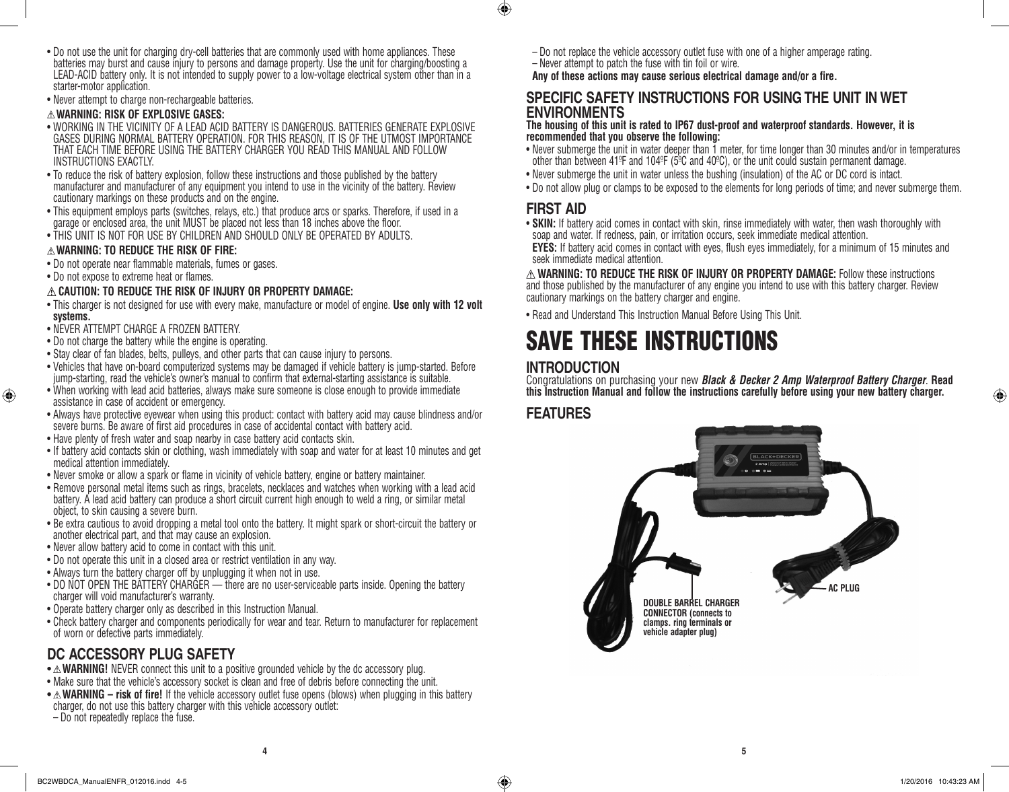- Do not use the unit for charging dry-cell batteries that are commonly used with home appliances. These batteries may burst and cause injury to persons and damage property. Use the unit for charging/boosting a LEAD-ACID battery only. It is not intended to supply power to a low-voltage electrical system other than in a starter-motor application.
- Never attempt to charge non-rechargeable batteries.

### **WARNING: RISK OF EXPLOSIVE GASES:**

- • WORKING IN THE VICINITY OF A LEAD ACID BATTERY IS DANGEROUS. BATTERIES GENERATE EXPLOSIVE GASES DURING NORMAL BATTERY OPERATION. FOR THIS REASON, IT IS OF THE UTMOST IMPORTANCE THAT EACH TIME BEFORE USING THE BATTERY CHARGER YOU READ THIS MANUAL AND FOLLOW INSTRUCTIONS EXACTLY.
- To reduce the risk of battery explosion, follow these instructions and those published by the battery manufacturer and manufacturer of any equipment you intend to use in the vicinity of the battery. Review cautionary markings on these products and on the engine.
- This equipment employs parts (switches, relays, etc.) that produce arcs or sparks. Therefore, if used in a garage or enclosed area, the unit MUST be placed not less than 18 inches above the floor.
- THIS UNIT IS NOT FOR USE BY CHILDREN AND SHOULD ONLY BE OPERATED BY ADULTS.

### **WARNING: TO REDUCE THE RISK OF FIRE:**

- Do not operate near flammable materials, fumes or gases.
- Do not expose to extreme heat or flames.

♠

### **CAUTION: TO REDUCE THE RISK OF INJURY OR PROPERTY DAMAGE:**

- • This charger is not designed for use with every make, manufacture or model of engine. **Use only with 12 volt systems.**
- • NEVER ATTEMPT CHARGE A FROZEN BATTERY.
- Do not charge the battery while the engine is operating.
- Stay clear of fan blades, belts, pulleys, and other parts that can cause injury to persons.
- • Vehicles that have on-board computerized systems may be damaged if vehicle battery is jump-started. Before jump-starting, read the vehicle's owner's manual to confirm that external-starting assistance is suitable.
- When working with lead acid batteries, always make sure someone is close enough to provide immediate assistance in case of accident or emergency.
- • Always have protective eyewear when using this product: contact with battery acid may cause blindness and/or severe burns. Be aware of first aid procedures in case of accidental contact with battery acid.
- Have plenty of fresh water and soap nearby in case battery acid contacts skin.
- If battery acid contacts skin or clothing, wash immediately with soap and water for at least 10 minutes and get medical attention immediately.
- Never smoke or allow a spark or flame in vicinity of vehicle battery, engine or battery maintainer.
- • Remove personal metal items such as rings, bracelets, necklaces and watches when working with a lead acid battery. A lead acid battery can produce a short circuit current high enough to weld a ring, or similar metal object, to skin causing a severe burn.
- • Be extra cautious to avoid dropping a metal tool onto the battery. It might spark or short-circuit the battery or another electrical part, and that may cause an explosion.
- Never allow battery acid to come in contact with this unit.
- Do not operate this unit in a closed area or restrict ventilation in any way.
- Always turn the battery charger off by unplugging it when not in use.
- DO NOT OPEN THE BATTERY CHARGER there are no user-serviceable parts inside. Opening the battery charger will void manufacturer's warranty.
- Operate battery charger only as described in this Instruction Manual.
- • Check battery charger and components periodically for wear and tear. Return to manufacturer for replacement of worn or defective parts immediately.

### **DC ACCESSORY PLUG SAFETY**

- $\triangle$  **WARNING!** NEVER connect this unit to a positive grounded vehicle by the dc accessory plug.
- Make sure that the vehicle's accessory socket is clean and free of debris before connecting the unit.
- $\triangle$  **WARNING risk of fire!** If the vehicle accessory outlet fuse opens (blows) when plugging in this battery charger, do not use this battery charger with this vehicle accessory outlet:

– Do not repeatedly replace the fuse.

- Do not replace the vehicle accessory outlet fuse with one of a higher amperage rating.
- Never attempt to patch the fuse with tin foil or wire.

**Any of these actions may cause serious electrical damage and/or a fire.**

### **SPECIFIC SAFETY INSTRUCTIONS FOR USING THE UNIT IN WET ENVIRONMENTS**

### **The housing of this unit is rated to IP67 dust-proof and waterproof standards. However, it is recommended that you observe the following:**

- • Never submerge the unit in water deeper than 1 meter, for time longer than 30 minutes and/or in temperatures other than between 41ºF and 104ºF ( $5^{\circ}$ C and 40°C), or the unit could sustain permanent damage.
- Never submerge the unit in water unless the bushing (insulation) of the AC or DC cord is intact.
- Do not allow plug or clamps to be exposed to the elements for long periods of time; and never submerge them.

### **FIRST AID**

 $\bigoplus$ 

- **SKIN:** If battery acid comes in contact with skin, rinse immediately with water, then wash thoroughly with soap and water. If redness, pain, or irritation occurs, seek immediate medical attention.
- **EYES:** If battery acid comes in contact with eyes, flush eyes immediately, for a minimum of 15 minutes and seek immediate medical attention.

**WARNING: TO REDUCE THE RISK OF INJURY OR PROPERTY DAMAGE:** Follow these instructions and those published by the manufacturer of any engine you intend to use with this battery charger. Review cautionary markings on the battery charger and engine.

• Read and Understand This Instruction Manual Before Using This Unit.

### SAVE THESE INSTRUCTIONS

### **INTRODUCTION**

Congratulations on purchasing your new *Black & Decker 2 Amp Waterproof Battery Charger*. **Read this Instruction Manual and follow the instructions carefully before using your new battery charger.**

### **FEATURES**

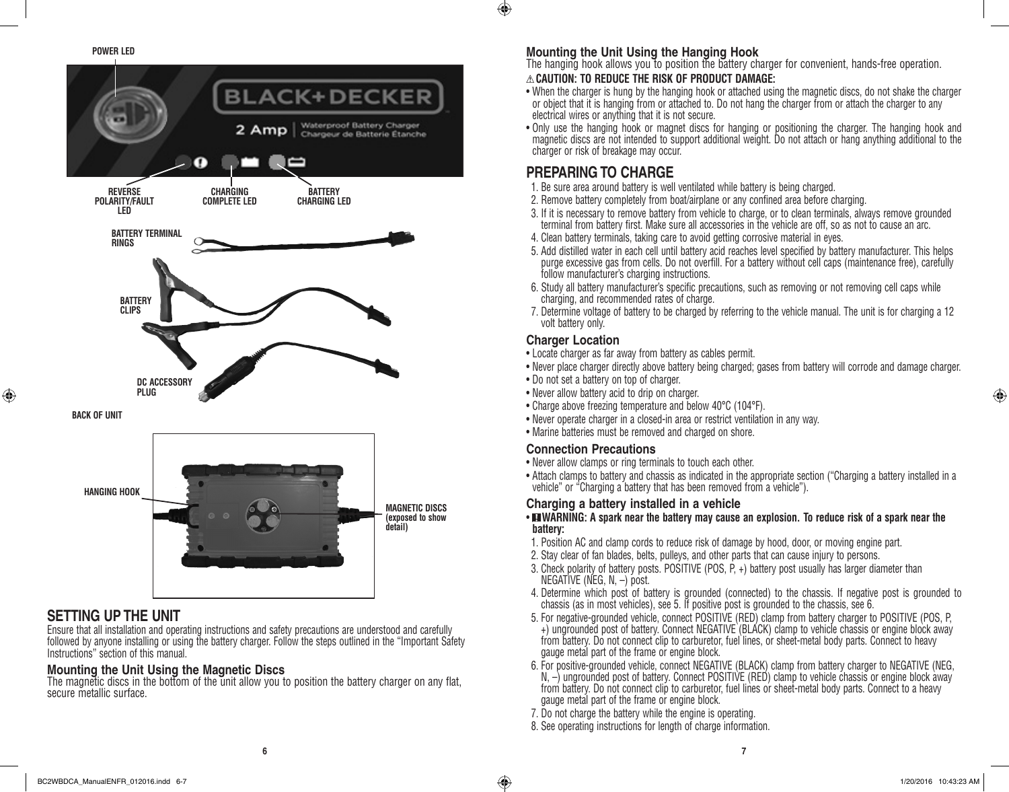**POWER LED**



### **SETTING UP THE UNIT**

⊕

Ensure that all installation and operating instructions and safety precautions are understood and carefully followed by anyone installing or using the battery charger. Follow the steps outlined in the "Important Safety Instructions" section of this manual.

### **Mounting the Unit Using the Magnetic Discs**

The magnetic discs in the bottom of the unit allow you to position the battery charger on any flat, secure metallic surface.

### **Mounting the Unit Using the Hanging Hook**

The hanging hook allows you to position the battery charger for convenient, hands-free operation.

### **CAUTION: TO REDUCE THE RISK OF PRODUCT DAMAGE:**

- When the charger is hung by the hanging hook or attached using the magnetic discs, do not shake the charger or object that it is hanging from or attached to. Do not hang the charger from or attach the charger to any electrical wires or anything that it is not secure.
- • Only use the hanging hook or magnet discs for hanging or positioning the charger. The hanging hook and magnetic discs are not intended to support additional weight. Do not attach or hang anything additional to the charger or risk of breakage may occur.

### **PREPARING TO CHARGE**

- 1. Be sure area around battery is well ventilated while battery is being charged.
- 2. Remove battery completely from boat/airplane or any confined area before charging.
- 3. If it is necessary to remove battery from vehicle to charge, or to clean terminals, always remove grounded terminal from battery first. Make sure all accessories in the vehicle are off, so as not to cause an arc.
- 4. Clean battery terminals, taking care to avoid getting corrosive material in eyes.
- 5. Add distilled water in each cell until battery acid reaches level specified by battery manufacturer. This helps purge excessive gas from cells. Do not overfill. For a battery without cell caps (maintenance free), carefully follow manufacturer's charging instructions.
- 6. Study all battery manufacturer's specific precautions, such as removing or not removing cell caps while charging, and recommended rates of charge.
- 7. Determine voltage of battery to be charged by referring to the vehicle manual. The unit is for charging a 12 volt battery only.

### **Charger Location**

- Locate charger as far away from battery as cables permit.
- Never place charger directly above battery being charged; gases from battery will corrode and damage charger.
- Do not set a battery on top of charger.
- Never allow battery acid to drip on charger.
- Charge above freezing temperature and below 40°C (104°F).
- • Never operate charger in a closed-in area or restrict ventilation in any way.
- Marine batteries must be removed and charged on shore.

### **Connection Precautions**

- Never allow clamps or ring terminals to touch each other.
- Attach clamps to battery and chassis as indicated in the appropriate section ("Charging a battery installed in a vehicle" or "Charging a battery that has been removed from a vehicle").

### **Charging a battery installed in a vehicle**

### • **ENARNING:** A spark near the battery may cause an explosion. To reduce risk of a spark near the **battery:**

- 1. Position AC and clamp cords to reduce risk of damage by hood, door, or moving engine part.
- 2. Stay clear of fan blades, belts, pulleys, and other parts that can cause injury to persons.
- 3. Check polarity of battery posts. POSITIVE (POS, P, +) battery post usually has larger diameter than NEGATIVE (NEG, N, –) post.
- 4. Determine which post of battery is grounded (connected) to the chassis. If negative post is grounded to chassis (as in most vehicles), see 5. If positive post is grounded to the chassis, see 6.
- 5. For negative-grounded vehicle, connect POSITIVE (RED) clamp from battery charger to POSITIVE (POS, P, +) ungrounded post of battery. Connect NEGATIVE (BLACK) clamp to vehicle chassis or engine block away from battery. Do not connect clip to carburetor, fuel lines, or sheet-metal body parts. Connect to heavy gauge metal part of the frame or engine block.
- 6. For positive-grounded vehicle, connect NEGATIVE (BLACK) clamp from battery charger to NEGATIVE (NEG, N,  $-$ ) ungrounded post of battery. Connect POSITIVE (RED) clamp to vehicle chassis or engine block away from battery. Do not connect clip to carburetor, fuel lines or sheet-metal body parts. Connect to a heavy gauge metal part of the frame or engine block.
- 7. Do not charge the battery while the engine is operating.
- 8. See operating instructions for length of charge information.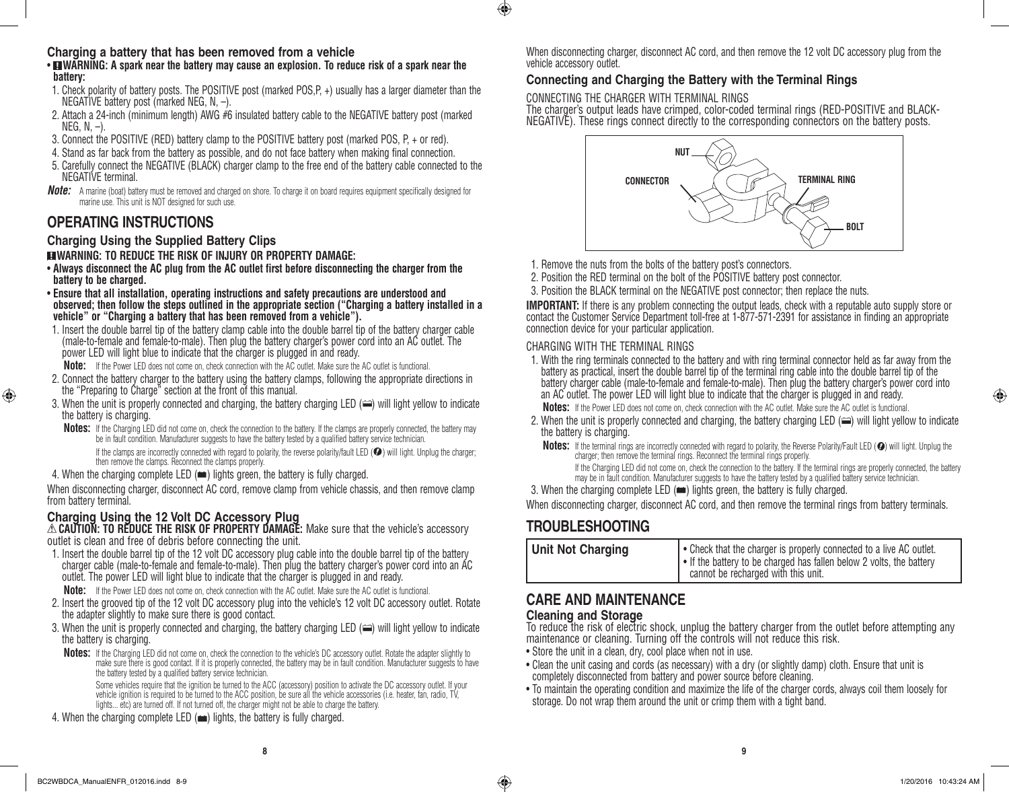### **Charging a battery that has been removed from a vehicle**

• **WARNING:** A spark near the battery may cause an explosion. To reduce risk of a spark near the **battery:**

- 1. Check polarity of battery posts. The POSITIVE post (marked POS, P+) usually has a larger diameter than the NEGATIVE battery post (marked NEG, N, –).
- 2. Attach a 24-inch (minimum length) AWG  $#6$  insulated battery cable to the NEGATIVE battery post (marked  $NFG, N, -$ ).
- 3. Connect the POSITIVE (RED) battery clamp to the POSITIVE battery post (marked POS, P, + or red).
- 4. Stand as far back from the battery as possible, and do not face battery when making final connection.
- 5. Carefully connect the NEGATIVE (BLACK) charger clamp to the free end of the battery cable connected to the NEGATIVE terminal.
- *Note:* A marine (boat) battery must be removed and charged on shore. To charge it on board requires equipment specifically designed for marine use. This unit is NOT designed for such use.

### **OPERATING INSTRUCTIONS**

⊕

### **Charging Using the Supplied Battery Clips**

### **WARNING: TO REDUCE THE RISK OF INJURY OR PROPERTY DAMAGE:**

- • **Always disconnect the AC plug from the AC outlet first before disconnecting the charger from the battery to be charged.**
- • **Ensure that all installation, operating instructions and safety precautions are understood and observed; then follow the steps outlined in the appropriate section ("Charging a battery installed in a vehicle" or "Charging a battery that has been removed from a vehicle").**
- 1. Insert the double barrel tip of the battery clamp cable into the double barrel tip of the battery charger cable (male-to-female and female-to-male). Then plug the battery charger's power cord into an AC outlet. The power LED will light blue to indicate that the charger is plugged in and ready.

**Note:** If the Power LED does not come on, check connection with the AC outlet. Make sure the AC outlet is functional.

- 2. Connect the battery charger to the battery using the battery clamps, following the appropriate directions in the "Preparing to Charge" section at the front of this manual.
- 3. When the unit is properly connected and charging, the battery charging LED  $(\implies)$  will light yellow to indicate the battery is charging.
	- **Notes:** If the Charging LED did not come on, check the connection to the battery. If the clamps are properly connected, the battery may be in fault condition. Manufacturer suggests to have the battery tested by a qualified battery service technician.

If the clamps are incorrectly connected with regard to polarity, the reverse polarity/fault LED  $\circledbullet$ ) will light. Unplug the charger: then remove the clamps. Reconnect the clamps properly.

### 4. When the charging complete LED  $(\equiv)$  lights green, the battery is fully charged.

When disconnecting charger, disconnect AC cord, remove clamp from vehicle chassis, and then remove clamp from battery terminal.

### **Charging Using the 12 Volt DC Accessory Plug**

**CAUTION: TO REDUCE THE RISK OF PROPERTY DAMAGE:** Make sure that the vehicle's accessory outlet is clean and free of debris before connecting the unit.

1. Insert the double barrel tip of the 12 volt DC accessory plug cable into the double barrel tip of the battery charger cable (male-to-female and female-to-male). Then plug the battery charger's power cord into an AC outlet. The power LED will light blue to indicate that the charger is plugged in and ready.

**Note:** If the Power LED does not come on, check connection with the AC outlet. Make sure the AC outlet is functional.

- 2. Insert the grooved tip of the 12 volt DC accessory plug into the vehicle's 12 volt DC accessory outlet. Rotate the adapter slightly to make sure there is good contact.
- 3. When the unit is properly connected and charging, the battery charging LED  $(\implies)$  will light yellow to indicate the battery is charging.
	- **Notes:** If the Charging LED did not come on, check the connection to the vehicle's DC accessory outlet. Rotate the adapter slightly to make sure there is good contact. If it is properly connected, the battery may be in fault condition. Manufacturer suggests to have the battery tested by a qualified battery service technician.

Some vehicles require that the ignition be turned to the ACC (accessory) position to activate the DC accessory outlet. If your vehicle ignition is required to be turned to the ACC position, be sure all the vehicle accessories (i.e. heater, fan, radio, TV, lights... etc) are turned off. If not turned off, the charger might not be able to charge the battery.

4. When the charging complete LED  $(\blacksquare)$  lights, the battery is fully charged.

When disconnecting charger, disconnect AC cord, and then remove the 12 volt DC accessory plug from the vehicle accessory outlet.

### **Connecting and Charging the Battery with the Terminal Rings**

CONNECTING THE CHARGER WITH TERMINAL RINGS

 $\bigcirc$ 

The charger's output leads have crimped, color-coded terminal rings (RED-POSITIVE and BLACK-NEGATIVE). These rings connect directly to the corresponding connectors on the battery posts.



1. Remove the nuts from the bolts of the battery post's connectors.

- 2. Position the RED terminal on the bolt of the POSITIVE battery post connector.
- 3. Position the BLACK terminal on the NEGATIVE post connector; then replace the nuts.

**IMPORTANT:** If there is any problem connecting the output leads, check with a reputable auto supply store or contact the Customer Service Department toll-free at 1-877-571-2391 for assistance in finding an appropriate connection device for your particular application.

### CHARGING WITH THE TERMINAL RINGS

1. With the ring terminals connected to the battery and with ring terminal connector held as far away from the battery as practical, insert the double barrel tip of the terminal ring cable into the double barrel tip of the battery charger cable (male-to-female and female-to-male). Then plug the battery charger's power cord into an AC outlet. The power LED will light blue to indicate that the charger is plugged in and ready.

**Notes:** If the Power LED does not come on, check connection with the AC outlet. Make sure the AC outlet is functional.

- 2. When the unit is properly connected and charging, the battery charging LED  $(\equiv)$  will light yellow to indicate the battery is charging.
	- Notes: If the terminal rings are incorrectly connected with regard to polarity, the Reverse Polarity/Fault LED ( $\bullet$ ) will light. Unplug the charger; then remove the terminal rings. Reconnect the terminal rings properly. If the Charging LED did not come on, check the connection to the battery. If the terminal rings are properly connected, the battery

may be in fault condition. Manufacturer suggests to have the battery tested by a qualified battery service technician.

3. When the charging complete LED  $(\equiv)$  lights green, the battery is fully charged.

When disconnecting charger, disconnect AC cord, and then remove the terminal rings from battery terminals.

### **TROUBLESHOOTING**

| <b>Unit Not Charging</b> | • Check that the charger is properly connected to a live AC outlet.<br>I • If the battery to be charged has fallen below 2 volts, the battery<br>cannot be recharged with this unit. |
|--------------------------|--------------------------------------------------------------------------------------------------------------------------------------------------------------------------------------|
|--------------------------|--------------------------------------------------------------------------------------------------------------------------------------------------------------------------------------|

### **CARE AND MAINTENANCE Cleaning and Storage**

To reduce the risk of electric shock, unplug the battery charger from the outlet before attempting any maintenance or cleaning. Turning off the controls will not reduce this risk.

- Store the unit in a clean, dry, cool place when not in use.
- Clean the unit casing and cords (as necessary) with a dry (or slightly damp) cloth. Ensure that unit is completely disconnected from battery and power source before cleaning.
- • To maintain the operating condition and maximize the life of the charger cords, always coil them loosely for storage. Do not wrap them around the unit or crimp them with a tight band.

**8 9**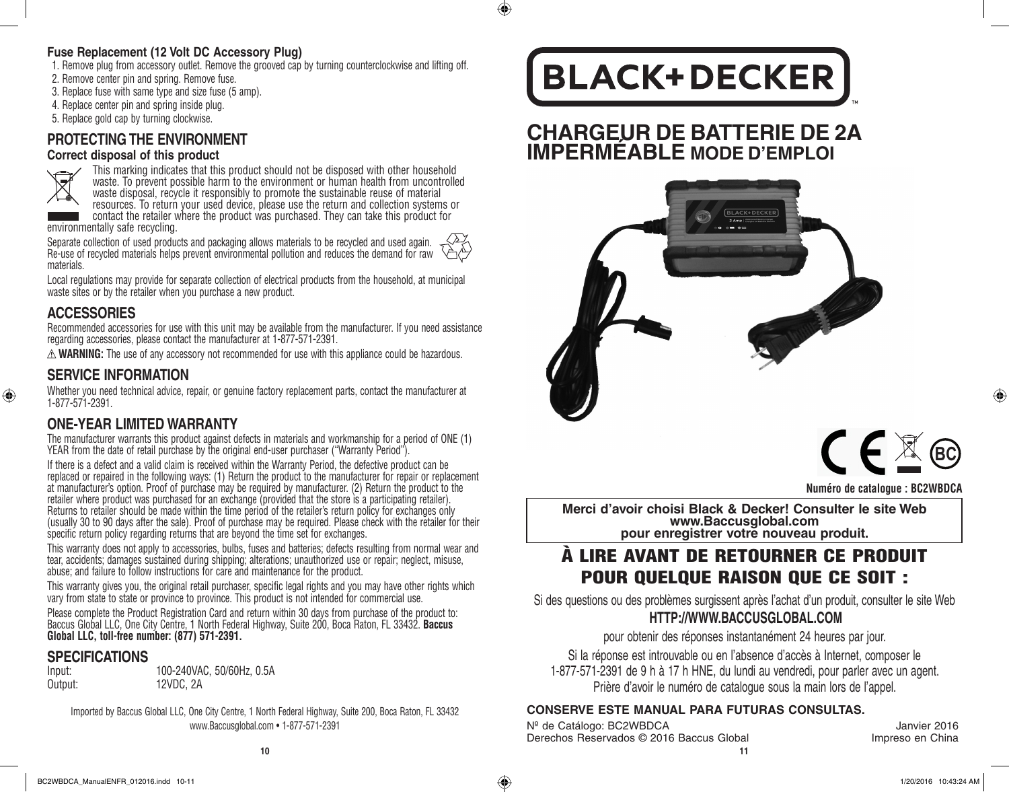### **Fuse Replacement (12 Volt DC Accessory Plug)**

- 1. Remove plug from accessory outlet. Remove the grooved cap by turning counterclockwise and lifting off.
- 2. Remove center pin and spring. Remove fuse.
- 3. Replace fuse with same type and size fuse (5 amp).
- 4. Replace center pin and spring inside plug.
- 5. Replace gold cap by turning clockwise.

### **PROTECTING THE ENVIRONMENT**

### **Correct disposal of this product**



 $\bigoplus$ 

This marking indicates that this product should not be disposed with other household waste. To prevent possible harm to the environment or human health from uncontrolled waste disposal, recycle it responsibly to promote the sustainable reuse of material resources. To return your used device, please use the return and collection systems or

contact the retailer where the product was purchased. They can take this product for environmentally safe recycling.

Separate collection of used products and packaging allows materials to be recycled and used again. Re-use of recycled materials helps prevent environmental pollution and reduces the demand for raw materials.

Local regulations may provide for separate collection of electrical products from the household, at municipal waste sites or by the retailer when you purchase a new product.

### **ACCESSORIES**

Recommended accessories for use with this unit may be available from the manufacturer. If you need assistance regarding accessories, please contact the manufacturer at 1-877-571-2391.

 $\triangle$  **WARNING:** The use of any accessory not recommended for use with this appliance could be hazardous.

### **SERVICE INFORMATION**

Whether you need technical advice, repair, or genuine factory replacement parts, contact the manufacturer at 1-877-571-2391.

### **ONE-YEAR LIMITED WARRANTY**

The manufacturer warrants this product against defects in materials and workmanship for a period of ONE (1) YEAR from the date of retail purchase by the original end-user purchaser ("Warranty Period").

If there is a defect and a valid claim is received within the Warranty Period, the defective product can be replaced or repaired in the following ways: (1) Return the product to the manufacturer for repair or replacement at manufacturer's option. Proof of purchase may be required by manufacturer. (2) Return the product to the retailer where product was purchased for an exchange (provided that the store is a participating retailer). Returns to retailer should be made within the time period of the retailer's return policy for exchanges only (usually 30 to 90 days after the sale). Proof of purchase may be required. Please check with the retailer for their specific return policy regarding returns that are beyond the time set for exchanges.

This warranty does not apply to accessories, bulbs, fuses and batteries; defects resulting from normal wear and tear, accidents; damages sustained during shipping; alterations; unauthorized use or repair; neglect, misuse, abuse; and failure to follow instructions for care and maintenance for the product.

This warranty gives you, the original retail purchaser, specific legal rights and you may have other rights which vary from state to state or province to province. This product is not intended for commercial use.

Please complete the Product Registration Card and return within 30 days from purchase of the product to: Baccus Global LLC, One City Centre, 1 North Federal Highway, Suite 200, Boca Raton, FL 33432. **Baccus Global LLC, toll-free number: (877) 571-2391.** 

### **SPECIFICATIONS**

| Input:  | 100-240VAC, 50/60Hz, 0.5A |
|---------|---------------------------|
| Output: | 12VDC, 2A                 |

Imported by Baccus Global LLC, One City Centre, 1 North Federal Highway, Suite 200, Boca Raton, FL 33432 www.Baccusglobal.com • 1-877-571-2391

## **BLACK+DECKER**

 $\bigcirc$ 

## **CHARGEUR DE BATTERIE DE 2A IMPERMÉABLE MODE D'EMPLOI**





**Merci d'avoir choisi Black & Decker! Consulter le site Web www.Baccusglobal.com pour enregistrer votre nouveau produit.**

### À LIRE AVANT DE RETOURNER CE PRODUIT POUR QUELQUE RAISON QUE CE SOIT :

Si des questions ou des problèmes surgissent après l'achat d'un produit, consulter le site Web **HTTP://WWW.BACCUSGLOBAL.COM**

pour obtenir des réponses instantanément 24 heures par jour.

Si la réponse est introuvable ou en l'absence d'accès à Internet, composer le 1-877-571-2391 de 9 h à 17 h HNE, du lundi au vendredi, pour parler avec un agent. Prière d'avoir le numéro de catalogue sous la main lors de l'appel.

### **CONSERVE ESTE MANUAL PARA FUTURAS CONSULTAS.**

**10 11** Nº de Catálogo: BC2WBDCA Janvier 2016 Derechos Reservados © 2016 Baccus Global **Impreso en China**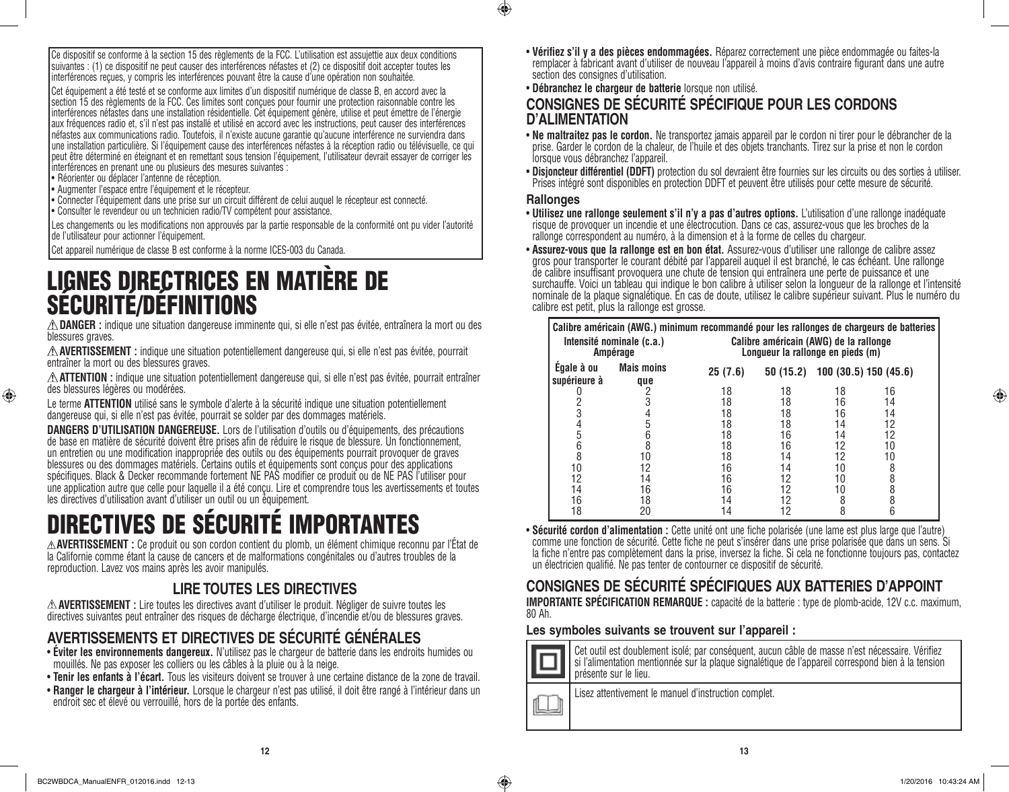Ce dispositif se conforme à la section 15 des règlements de la FCC. L'utilisation est assujettie aux deux conditions suivantes : (1) ce dispositif ne peut causer des interférences néfastes et (2) ce dispositif doit accepter toutes les interférences reçues, y compris les interférences pouvant être la cause d'une opération non souhaitée.

Cet équipement a été testé et se conforme aux limites d'un dispositif numérique de classe B, en accord avec la section 15 des règlements de la FCC. Ces limites sont concues pour fournir une protection raisonnable contre les interférences néfastes dans une installation résidentielle. Cet équipement génère, utilise et peut émettre de l'énergie aux fréquences radio et, s'il n'est pas installé et utilisé en accord avec les instructions, peut causer des interférences néfastes aux communications radio. Toutefois, il n'existe aucune garantie qu'aucune interférence ne surviendra dans une installation particulière. Si l'équipement cause des interférences néfastes à la réception radio ou télévisuelle, ce qui peut être déterminé en éteignant et en remettant sous tension l'équipement, l'utilisateur devrait essayer de corriger les interférences en prenant une ou plusieurs des mesures suivantes :

• Réorienter ou déplacer l'antenne de réception.

⊕

- • Augmenter l'espace entre l'équipement et le récepteur.
- • Connecter l'équipement dans une prise sur un circuit différent de celui auquel le récepteur est connecté.
- • Consulter le revendeur ou un technicien radio/TV compétent pour assistance.
- Les changements ou les modifications non approuvés par la partie responsable de la conformité ont pu vider l'autorité de l'utilisateur pour actionner l'équipement.

Cet appareil numérique de classe B est conforme à la norme ICES-003 du Canada.

# LIGNES DIRECTRICES EN MATIÈRE DE SÉCURITÉ/DÉFINITIONS

**DANGER :** indique une situation dangereuse imminente qui, si elle n'est pas évitée, entraînera la mort ou des blessures graves.

**AVERTISSEMENT :** indique une situation potentiellement dangereuse qui, si elle n'est pas évitée, pourrait entraîner la mort ou des blessures graves.

**ATTENTION :** indique une situation potentiellement dangereuse qui, si elle n'est pas évitée, pourrait entraîner des blessures légères ou modérées.

Le terme **ATTENTION** utilisé sans le symbole d'alerte à la sécurité indique une situation potentiellement dangereuse qui, si elle n'est pas évitée, pourrait se solder par des dommages matériels.

**DANGERS D'UTILISATION DANGEREUSE.** Lors de l'utilisation d'outils ou d'équipements, des précautions de base en matière de sécurité doivent être prises afin de réduire le risque de blessure. Un fonctionnement, un entretien ou une modification inappropriée des outils ou des équipements pourrait provoquer de graves blessures ou des dommages matériels. Certains outils et équipements sont conçus pour des applications spécifiques. Black & Decker recommande fortement NE PAS modifier ce produit ou de NE PAS l'utiliser pour une application autre que celle pour laquelle il a été conçu. Lire et comprendre tous les avertissements et toutes les directives d'utilisation avant d'utiliser un outil ou un équipement.

## DIRECTIVES DE SÉCURITÉ IMPORTANTES

**AVERTISSEMENT :** Ce produit ou son cordon contient du plomb, un élément chimique reconnu par l'État de la Californie comme étant la cause de cancers et de malformations congénitales ou d'autres troubles de la reproduction. Lavez vos mains après les avoir manipulés.

### **LIRE TOUTES LES DIRECTIVES**

**AVERTISSEMENT :** Lire toutes les directives avant d'utiliser le produit. Négliger de suivre toutes les directives suivantes peut entraîner des risques de décharge électrique, d'incendie et/ou de blessures graves.

### **AVERTISSEMENTS ET DIRECTIVES DE SÉCURITÉ GÉNÉRALES**

- • **Éviter les environnements dangereux.** N'utilisez pas le chargeur de batterie dans les endroits humides ou mouillés. Ne pas exposer les colliers ou les câbles à la pluie ou à la neige.
- • **Tenir les enfants à l'écart.** Tous les visiteurs doivent se trouver à une certaine distance de la zone de travail.
- • **Ranger le chargeur à l'intérieur.** Lorsque le chargeur n'est pas utilisé, il doit être rangé à l'intérieur dans un endroit sec et élevé ou verrouillé, hors de la portée des enfants.
- • **Vérifiez s'il y a des pièces endommagées.** Réparez correctement une pièce endommagée ou faites-la remplacer à fabricant avant d'utiliser de nouveau l'appareil à moins d'avis contraire figurant dans une autre section des consignes d'utilisation.
- • **Débranchez le chargeur de batterie** lorsque non utilisé.

### **CONSIGNES DE SÉCURITÉ SPÉCIFIQUE POUR LES CORDONS D'ALIMENTATION**

- • **Ne maltraitez pas le cordon.** Ne transportez jamais appareil par le cordon ni tirer pour le débrancher de la prise. Garder le cordon de la chaleur, de l'huile et des objets tranchants. Tirez sur la prise et non le cordon lorsque vous débranchez l'appareil.
- • **Disjoncteur différentiel (DDFT)** protection du sol devraient être fournies sur les circuits ou des sorties à utiliser. Prises intégré sont disponibles en protection DDFT et peuvent être utilisés pour cette mesure de sécurité.

### **Rallonges**

 $\bigoplus$ 

- • **Utilisez une rallonge seulement s'il n'y a pas d'autres options.** L'utilisation d'une rallonge inadéquate risque de provoquer un incendie et une électrocution. Dans ce cas, assurez-vous que les broches de la rallonge correspondent au numéro, à la dimension et à la forme de celles du chargeur.
- • **Assurez-vous que la rallonge est en bon état.** Assurez-vous d'utiliser une rallonge de calibre assez gros pour transporter le courant débité par l'appareil auquel il est branché, le cas échéant. Une rallonge de calibre insuffisant provoquera une chute de tension qui entraînera une perte de puissance et une surchauffe. Voici un tableau qui indique le bon calibre à utiliser selon la longueur de la rallonge et l'intensité nominale de la plaque signalétique. En cas de doute, utilisez le calibre supérieur suivant. Plus le numéro du calibre est petit, plus la rallonge est grosse.

| Intensité nominale (c.a.)<br>Ampérage |                          |          | Calibre américain (AWG.) minimum recommandé pour les rallonges de chargeurs de batteries<br>Calibre américain (AWG) de la rallonge<br>Longueur la rallonge en pieds (m) |                                 |          |  |
|---------------------------------------|--------------------------|----------|-------------------------------------------------------------------------------------------------------------------------------------------------------------------------|---------------------------------|----------|--|
| Égale à ou<br>supérieure à            | <b>Mais moins</b><br>que | 25(7.6)  |                                                                                                                                                                         | 50 (15.2) 100 (30.5) 150 (45.6) |          |  |
|                                       |                          | 18<br>18 | 18<br>18                                                                                                                                                                | 18<br>16                        | 16<br>14 |  |
| 3                                     |                          | 18       | 18                                                                                                                                                                      | 16                              | 14       |  |
| 4                                     |                          | 18       | 18                                                                                                                                                                      | 14                              | 12       |  |
| 5                                     |                          | 18       | 16                                                                                                                                                                      | 14                              | 12       |  |
| 6                                     |                          | 18       | 16                                                                                                                                                                      | 12                              | 10       |  |
| 8                                     | 10                       | 18       | 14                                                                                                                                                                      | 12                              | 10       |  |
| 10                                    | 12                       | 16       | 14                                                                                                                                                                      | 10                              |          |  |
| 12                                    | 14                       | 16       | 12                                                                                                                                                                      | 10                              |          |  |
| 14                                    | 16                       | 16       | 12                                                                                                                                                                      | 10                              |          |  |
| 16                                    | 18                       | 14       | 12                                                                                                                                                                      | 8                               |          |  |
| 18                                    | 20                       | 14       | 12                                                                                                                                                                      | 8                               |          |  |

• **Sécurité cordon d'alimentation :** Cette unité ont une fiche polarisée (une lame est plus large que l'autre) comme une fonction de sécurité. Cette fiche ne peut s'insérer dans une prise polarisée que dans un sens. Si la fiche n'entre pas complètement dans la prise, inversez la fiche. Si cela ne fonctionne toujours pas, contactez un électricien qualifié. Ne pas tenter de contourner ce dispositif de sécurité.

### **CONSIGNES DE SÉCURITÉ SPÉCIFIQUES AUX BATTERIES D'APPOINT**

**IMPORTANTE SPÉCIFICATION REMARQUE :** capacité de la batterie : type de plomb-acide, 12V c.c. maximum, 80 Ah.

### **Les symboles suivants se trouvent sur l'appareil :**



 $\mathbb{L}$ 

Cet outil est doublement isolé; par conséquent, aucun câble de masse n'est nécessaire. Vérifiez si l'alimentation mentionnée sur la plaque signalétique de l'appareil correspond bien à la tension présente sur le lieu.

Lisez attentivement le manuel d'instruction complet.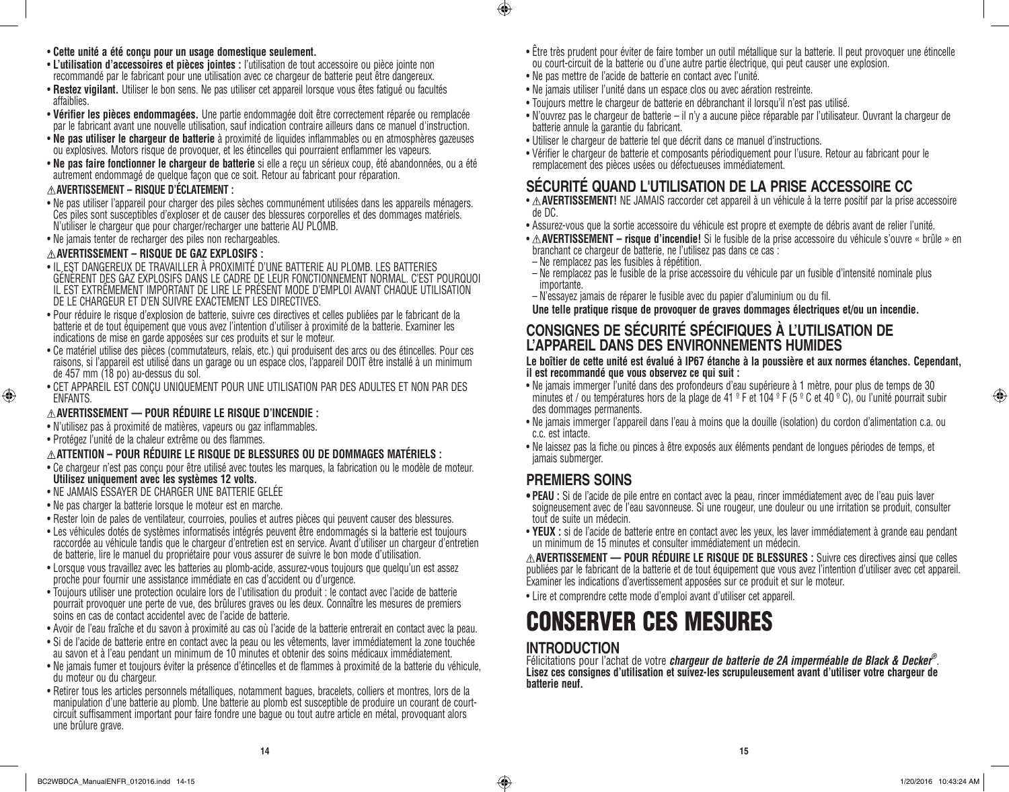### • **Cette unité a été conçu pour un usage domestique seulement.**

- • **L'utilisation d'accessoires et pièces jointes :** l'utilisation de tout accessoire ou pièce jointe non recommandé par le fabricant pour une utilisation avec ce chargeur de batterie peut être dangereux.
- • **Restez vigilant.** Utiliser le bon sens. Ne pas utiliser cet appareil lorsque vous êtes fatigué ou facultés affaiblies.
- • **Vérifier les pièces endommagées.** Une partie endommagée doit être correctement réparée ou remplacée par le fabricant avant une nouvelle utilisation, sauf indication contraire ailleurs dans ce manuel d'instruction.
- • **Ne pas utiliser le chargeur de batterie** à proximité de liquides inflammables ou en atmosphères gazeuses ou explosives. Motors risque de provoquer, et les étincelles qui pourraient enflammer les vapeurs.
- • **Ne pas faire fonctionner le chargeur de batterie** si elle a reçu un sérieux coup, été abandonnées, ou a été autrement endommagé de quelque façon que ce soit. Retour au fabricant pour réparation.

### **AVERTISSEMENT – RISQUE D'ÉCLATEMENT :**

- • Ne pas utiliser l'appareil pour charger des piles sèches communément utilisées dans les appareils ménagers. Ces piles sont susceptibles d'exploser et de causer des blessures corporelles et des dommages matériels. N'utiliser le chargeur que pour charger/recharger une batterie AU PLOMB.
- Ne jamais tenter de recharger des piles non rechargeables.

### **AVERTISSEMENT – RISQUE DE GAZ EXPLOSIFS :**

- • IL EST DANGEREUX DE TRAVAILLER À PROXIMITÉ D'UNE BATTERIE AU PLOMB. LES BATTERIES GÉNÈRENT DES GAZ EXPLOSIFS DANS LE CADRE DE LEUR FONCTIONNEMENT NORMAL. C'EST POURQUOI IL EST EXTRÊMEMENT IMPORTANT DE LIRE LE PRÉSENT MODE D'EMPLOI AVANT CHAQUE UTILISATION DE LE CHARGEUR ET D'EN SUIVRE EXACTEMENT LES DIRECTIVES.
- • Pour réduire le risque d'explosion de batterie, suivre ces directives et celles publiées par le fabricant de la batterie et de tout équipement que vous avez l'intention d'utiliser à proximité de la batterie. Examiner les indications de mise en garde apposées sur ces produits et sur le moteur.
- • Ce matériel utilise des pièces (commutateurs, relais, etc.) qui produisent des arcs ou des étincelles. Pour ces raisons, si l'appareil est utilisé dans un garage ou un espace clos, l'appareil DOIT être installé à un minimum de 457 mm (18 po) au-dessus du sol.
- • CET APPAREIL EST CONÇU UNIQUEMENT POUR UNE UTILISATION PAR DES ADULTES ET NON PAR DES ENFANTS.

### **AVERTISSEMENT — POUR RÉDUIRE LE RISQUE D'INCENDIE :**

- • N'utilisez pas à proximité de matières, vapeurs ou gaz inflammables.
- • Protégez l'unité de la chaleur extrême ou des flammes.

⊕

### **ATTENTION – POUR RÉDUIRE LE RISQUE DE BLESSURES OU DE DOMMAGES MATÉRIELS :**

- • Ce chargeur n'est pas conçu pour être utilisé avec toutes les marques, la fabrication ou le modèle de moteur. **Utilisez uniquement avec les systèmes 12 volts.**
- • NE JAMAIS ESSAYER DE CHARGER UNE BATTERIE GELÉE
- • Ne pas charger la batterie lorsque le moteur est en marche.
- • Rester loin de pales de ventilateur, courroies, poulies et autres pièces qui peuvent causer des blessures.
- • Les véhicules dotés de systèmes informatisés intégrés peuvent être endommagés si la batterie est toujours raccordée au véhicule tandis que le chargeur d'entretien est en service. Avant d'utiliser un chargeur d'entretien de batterie, lire le manuel du propriétaire pour vous assurer de suivre le bon mode d'utilisation.
- • Lorsque vous travaillez avec les batteries au plomb-acide, assurez-vous toujours que quelqu'un est assez proche pour fournir une assistance immédiate en cas d'accident ou d'urgence.
- • Toujours utiliser une protection oculaire lors de l'utilisation du produit : le contact avec l'acide de batterie pourrait provoquer une perte de vue, des brûlures graves ou les deux. Connaître les mesures de premiers soins en cas de contact accidentel avec de l'acide de batterie.
- • Avoir de l'eau fraîche et du savon à proximité au cas où l'acide de la batterie entrerait en contact avec la peau.
- • Si de l'acide de batterie entre en contact avec la peau ou les vêtements, laver immédiatement la zone touchée au savon et à l'eau pendant un minimum de 10 minutes et obtenir des soins médicaux immédiatement.
- • Ne jamais fumer et toujours éviter la présence d'étincelles et de flammes à proximité de la batterie du véhicule, du moteur ou du chargeur.
- • Retirer tous les articles personnels métalliques, notamment bagues, bracelets, colliers et montres, lors de la manipulation d'une batterie au plomb. Une batterie au plomb est susceptible de produire un courant de courtcircuit suffisamment important pour faire fondre une bague ou tout autre article en métal, provoquant alors une brûlure grave.
- • Être très prudent pour éviter de faire tomber un outil métallique sur la batterie. Il peut provoquer une étincelle ou court-circuit de la batterie ou d'une autre partie électrique, qui peut causer une explosion.
- • Ne pas mettre de l'acide de batterie en contact avec l'unité.

 $\bigcirc$ 

- Ne jamais utiliser l'unité dans un espace clos ou avec aération restreinte.
- Toujours mettre le chargeur de batterie en débranchant il lorsqu'il n'est pas utilisé.
- • N'ouvrez pas le chargeur de batterie il n'y a aucune pièce réparable par l'utilisateur. Ouvrant la chargeur de batterie annule la garantie du fabricant.
- • Utiliser le chargeur de batterie tel que décrit dans ce manuel d'instructions.
- • Vérifier le chargeur de batterie et composants périodiquement pour l'usure. Retour au fabricant pour le remplacement des pièces usées ou défectueuses immédiatement.

### **SÉCURITÉ QUAND L'UTILISATION DE LA PRISE ACCESSOIRE CC**

- A **AVERTISSEMENT!** NE JAMAIS raccorder cet appareil à un véhicule à la terre positif par la prise accessoire de DC.
- • Assurez-vous que la sortie accessoire du véhicule est propre et exempte de débris avant de relier l'unité.
- $\triangle$  **AVERTISSEMENT risque d'incendie!** Si le fusible de la prise accessoire du véhicule s'ouvre « brûle » en branchant ce chargeur de batterie, ne l'utilisez pas dans ce cas :
- Ne remplacez pas les fusibles à répétition.
- Ne remplacez pas le fusible de la prise accessoire du véhicule par un fusible d'intensité nominale plus importante.
- N'essayez jamais de réparer le fusible avec du papier d'aluminium ou du fil.
- **Une telle pratique risque de provoquer de graves dommages électriques et/ou un incendie.**

### **CONSIGNES DE SÉCURITÉ SPÉCIFIQUES À L'UTILISATION DE L'APPAREIL DANS DES ENVIRONNEMENTS HUMIDES**

### **Le boîtier de cette unité est évalué à IP67 étanche à la poussière et aux normes étanches. Cependant, il est recommandé que vous observez ce qui suit :**

- • Ne jamais immerger l'unité dans des profondeurs d'eau supérieure à 1 mètre, pour plus de temps de 30 minutes et / ou températures hors de la plage de 41 º F et 104 º F (5 º C et 40 º C), ou l'unité pourrait subir des dommages permanents.
- • Ne jamais immerger l'appareil dans l'eau à moins que la douille (isolation) du cordon d'alimentation c.a. ou c.c. est intacte.
- • Ne laissez pas la fiche ou pinces à être exposés aux éléments pendant de longues périodes de temps, et jamais submerger.

### **PREMIERS SOINS**

- **• PEAU :** Si de l'acide de pile entre en contact avec la peau, rincer immédiatement avec de l'eau puis laver soigneusement avec de l'eau savonneuse. Si une rougeur, une douleur ou une irritation se produit, consulter tout de suite un médecin.
- • **YEUX :** si de l'acide de batterie entre en contact avec les yeux, les laver immédiatement à grande eau pendant un minimum de 15 minutes et consulter immédiatement un médecin.

**AVERTISSEMENT — POUR RÉDUIRE LE RISQUE DE BLESSURES :** Suivre ces directives ainsi que celles publiées par le fabricant de la batterie et de tout équipement que vous avez l'intention d'utiliser avec cet appareil. Examiner les indications d'avertissement apposées sur ce produit et sur le moteur.

• Lire et comprendre cette mode d'emploi avant d'utiliser cet appareil.

### CONSERVER CES MESURES

### **INTRODUCTION**

Félicitations pour l'achat de votre *chargeur de batterie de 2A imperméable de Black & Decker®*. **Lisez ces consignes d'utilisation et suivez-les scrupuleusement avant d'utiliser votre chargeur de batterie neuf.**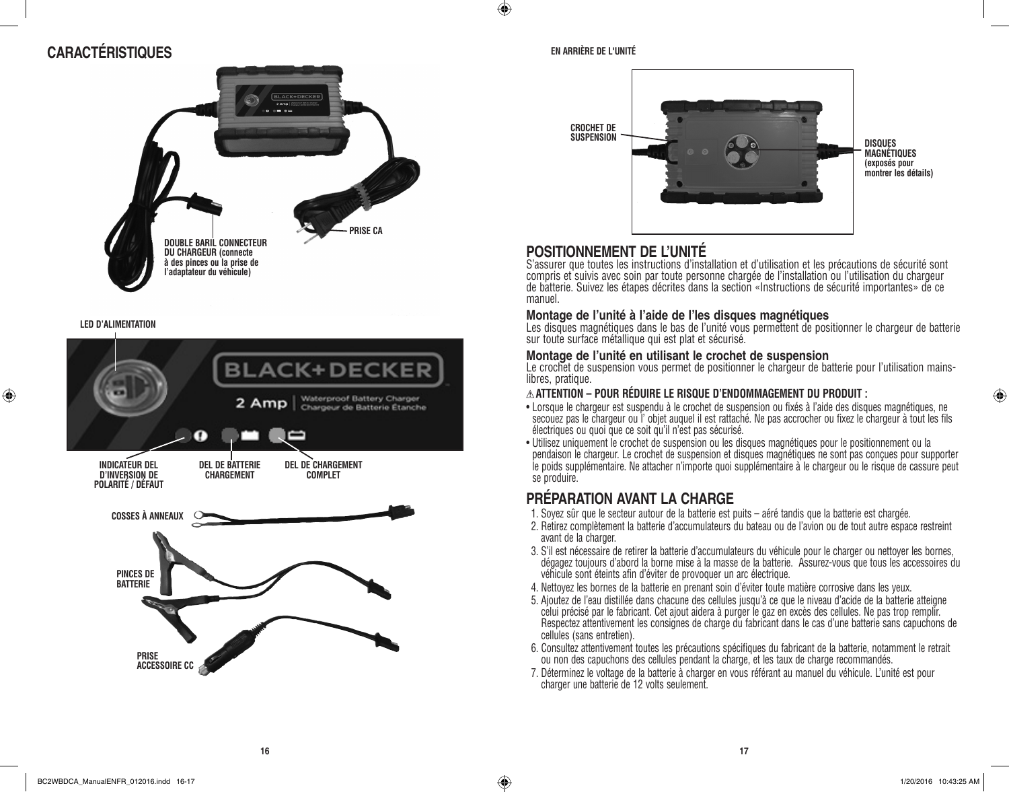### **CARACTÉRISTIQUES**



#### **LED D'ALIMENTATION**

⊕



#### **EN ARRIÈRE DE L'UNITÉ**

 $\bigoplus$ 



### **POSITIONNEMENT DE L'UNITÉ**

S'assurer que toutes les instructions d'installation et d'utilisation et les précautions de sécurité sont compris et suivis avec soin par toute personne chargée de l'installation ou l'utilisation du chargeur de batterie. Suivez les étapes décrites dans la section «Instructions de sécurité importantes» de ce manuel.

### **Montage de l'unité à l'aide de l'les disques magnétiques**

Les disques magnétiques dans le bas de l'unité vous permettent de positionner le chargeur de batterie sur toute surface métallique qui est plat et sécurisé.

### **Montage de l'unité en utilisant le crochet de suspension**

Le crochet de suspension vous permet de positionner le chargeur de batterie pour l'utilisation mainslibres, pratique.

### **ATTENTION – POUR RÉDUIRE LE RISQUE D'ENDOMMAGEMENT DU PRODUIT :**

- • Lorsque le chargeur est suspendu à le crochet de suspension ou fixés à l'aide des disques magnétiques, ne secouez pas le chargeur ou l'objet auquel il est rattaché. Ne pas accrocher ou fixez le chargeur à tout les fils électriques ou quoi que ce soit qu'il n'est pas sécurisé.
- • Utilisez uniquement le crochet de suspension ou les disques magnétiques pour le positionnement ou la pendaison le chargeur. Le crochet de suspension et disques magnétiques ne sont pas conçues pour supporter le poids supplémentaire. Ne attacher n'importe quoi supplémentaire à le chargeur ou le risque de cassure peut se produire.

### **PRÉPARATION AVANT LA CHARGE**

- 1. Soyez sûr que le secteur autour de la batterie est puits aéré tandis que la batterie est chargée.
- 2. Retirez complètement la batterie d'accumulateurs du bateau ou de l'avion ou de tout autre espace restreint avant de la charger.
- 3. S'il est nécessaire de retirer la batterie d'accumulateurs du véhicule pour le charger ou nettoyer les bornes, dégagez toujours d'abord la borne mise à la masse de la batterie. Assurez-vous que tous les accessoires du véhicule sont éteints afin d'éviter de provoquer un arc électrique.
- 4. Nettoyez les bornes de la batterie en prenant soin d'éviter toute matière corrosive dans les yeux.
- 5. Ajoutez de l'eau distillée dans chacune des cellules jusqu'à ce que le niveau d'acide de la batterie atteigne celui précisé par le fabricant. Cet ajout aidera à purger le gaz en excès des cellules. Ne pas trop remplir. Respectez attentivement les consignes de charge du fabricant dans le cas d'une batterie sans capuchons de cellules (sans entretien).
- 6. Consultez attentivement toutes les précautions spécifiques du fabricant de la batterie, notamment le retrait ou non des capuchons des cellules pendant la charge, et les taux de charge recommandés.
- 7. Déterminez le voltage de la batterie à charger en vous référant au manuel du véhicule. L'unité est pour charger une batterie de 12 volts seulement.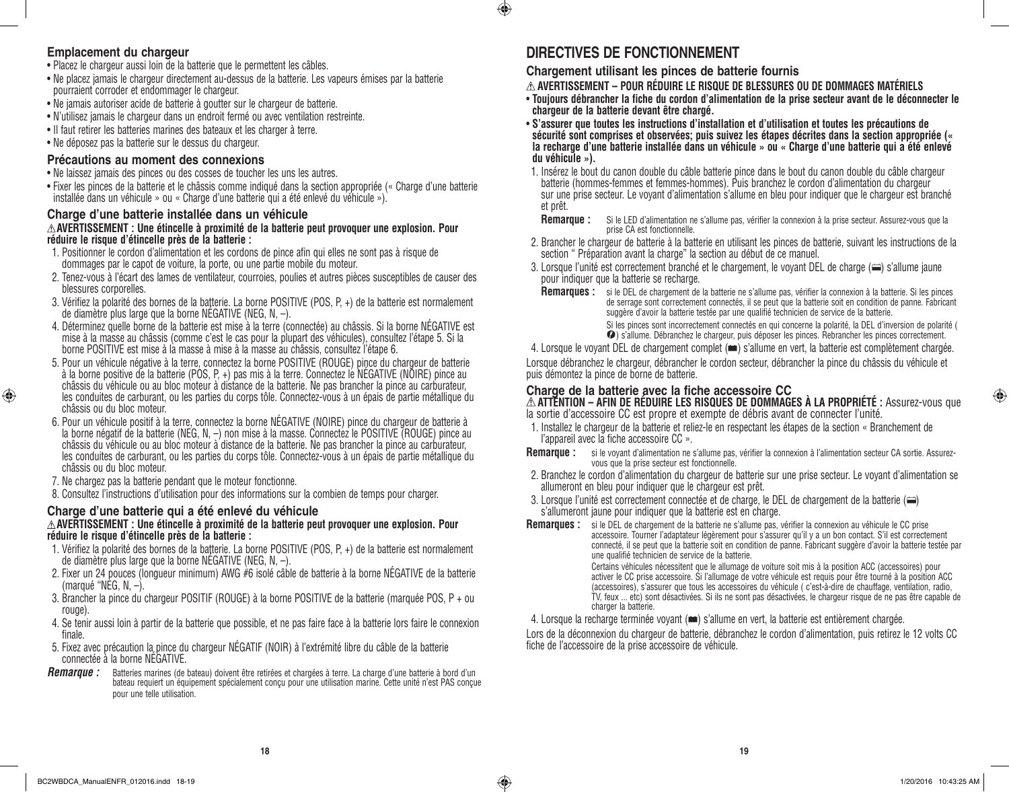### **Emplacement du chargeur**

⊕

- Placez le chargeur aussi loin de la batterie que le permettent les câbles.
- • Ne placez jamais le chargeur directement au-dessus de la batterie. Les vapeurs émises par la batterie pourraient corroder et endommager le chargeur.
- Ne jamais autoriser acide de batterie à goutter sur le chargeur de batterie.
- • N'utilisez jamais le chargeur dans un endroit fermé ou avec ventilation restreinte.
- Il faut retirer les batteries marines des bateaux et les charger à terre.
- • Ne déposez pas la batterie sur le dessus du chargeur.

### **Précautions au moment des connexions**

- Ne laissez jamais des pinces ou des cosses de toucher les uns les autres.
- • Fixer les pinces de la batterie et le châssis comme indiqué dans la section appropriée (« Charge d'une batterie installée dans un véhicule » ou « Charge d'une batterie qui a été enlevé du véhicule »).

### **Charge d'une batterie installée dans un véhicule AVERTISSEMENT : Une étincelle à proximité de la batterie peut provoquer une explosion. Pour réduire le risque d'étincelle près de la batterie :**

- 1. Positionner le cordon d'alimentation et les cordons de pince afin qui elles ne sont pas à risque de dommages par le capot de voiture, la porte, ou une partie mobile du moteur.
- 2. Tenez-vous à l'écart des lames de ventilateur, courroies, poulies et autres pièces susceptibles de causer des blessures corporelles.
- 3. Vérifiez la polarité des bornes de la batterie. La borne POSITIVE (POS, P, +) de la batterie est normalement de diamètre plus large que la borne NÉGATIVE (NEG, N, –).
- 4. Déterminez quelle borne de la batterie est mise à la terre (connectée) au châssis. Si la borne NÉGATIVE est mise à la masse au châssis (comme c'est le cas pour la plupart des véhicules), consultez l'étape 5. Si la borne POSITIVE est mise à la masse à mise à la masse au châssis, consultez l'étape 6.
- 5. Pour un véhicule négative à la terre, connectez la borne POSITIVE (ROUGE) pince du chargeur de batterie à la borne positive de la batterie (POS, P, +) pas mis à la terre. Connectez le NÉGATIVE (NOIRE) pince au châssis du véhicule ou au bloc moteur à distance de la batterie. Ne pas brancher la pince au carburateur, les conduites de carburant, ou les parties du corps tôle. Connectez-vous à un épais de partie métallique du châssis ou du bloc moteur.
- 6. Pour un véhicule positif à la terre, connectez la borne NÉGATIVE (NOIRE) pince du chargeur de batterie à la borne négatif de la batterie (NEG, N, -) non mise à la masse. Connectéz le POSITIVE (ROUGE) pince au châssis du véhicule ou au bloc moteur à distance de la batterie. Ne pas brancher la pince au carburateur, les conduites de carburant, ou les parties du corps tôle. Connectez-vous à un épais de partie métallique du châssis ou du bloc moteur.
- 7. Ne chargez pas la batterie pendant que le moteur fonctionne.
- 8. Consultez l'instructions d'utilisation pour des informations sur la combien de temps pour charger.

### **Charge d'une batterie qui a été enlevé du véhicule AVERTISSEMENT : Une étincelle à proximité de la batterie peut provoquer une explosion. Pour**

### **réduire le risque d'étincelle près de la batterie :**

- 1. Vérifiez la polarité des bornes de la batterie. La borne POSITIVE (POS, P, +) de la batterie est normalement de diamètre plus large que la borne NÉGATIVE (NEG, N, –).
- 2. Fixer un 24 pouces (longueur minimum) AWG #6 isolé câble de batterie à la borne NÉGATIVE de la batterie (marqué "NEG,  $N -$ ).
- 3. Brancher la pince du chargeur POSITIF (ROUGE) à la borne POSITIVE de la batterie (marquée POS, P + ou rouge).
- 4. Se tenir aussi loin à partir de la batterie que possible, et ne pas faire face à la batterie lors faire le connexion finale.
- 5. Fixez avec précaution la pince du chargeur NÉGATIF (NOIR) à l'extrémité libre du câble de la batterie connectée à la borne NÉGATIVE.
- *Remarque :* Batteries marines (de bateau) doivent être retirées et chargées à terre. La charge d'une batterie à bord d'un bateau requiert un équipement spécialement conçu pour une utilisation marine. Cette unité n'est PAS conçue pour une telle utilisation.

### **DIRECTIVES DE FONCTIONNEMENT**

 $\bigcirc$ 

**Chargement utilisant les pinces de batterie fournis**

**AVERTISSEMENT – POUR RÉDUIRE LE RISQUE DE BLESSURES OU DE DOMMAGES MATÉRIELS** 

- • **Toujours débrancher la fiche du cordon d'alimentation de la prise secteur avant de le déconnecter le chargeur de la batterie devant être chargé.**
- • **S'assurer que toutes les instructions d'installation et d'utilisation et toutes les précautions de sécurité sont comprises et observées; puis suivez les étapes décrites dans la section appropriée (« la recharge d'une batterie installée dans un véhicule » ou « Charge d'une batterie qui a été enlevé du véhicule »).**
- 1. Insérez le bout du canon double du câble batterie pince dans le bout du canon double du câble chargeur batterie (hommes-femmes et femmes-hommes). Puis branchez le cordon d'alimentation du chargeur sur une prise secteur. Le voyant d'alimentation s'allume en bleu pour indiquer que le chargeur est branché et prêt.
	- **Remarque :** Si le LED d'alimentation ne s'allume pas, vérifier la connexion à la prise secteur. Assurez-vous que la prise CA est fonctionnelle.
- 2. Brancher le chargeur de batterie à la batterie en utilisant les pinces de batterie, suivant les instructions de la section " Préparation avant la charge" la section au début de ce manuel.
- 3. Lorsque l'unité est correctement branché et le chargement, le voyant DEL de charge  $(\equiv)$  s'allume jaune pour indiquer que la batterie se recharge.
	- Remarques : si le DEL de chargement de la batterie ne s'allume pas, vérifier la connexion à la batterie. Si les pinces de serrage sont correctement connectés, il se peut que la batterie soit en condition de panne. Fabricant suggère d'avoir la batterie testée par une qualifié technicien de service de la batterie. Si les pinces sont incorrectement connectés en qui concerne la polarité, la DEL d'inversion de polarité (

) s'allume. Débranchez le chargeur, puis déposer les pinces. Rebrancher les pinces correctement.

4. Lorsque le voyant DEL de chargement complet ( $\implies$ ) s'allume en vert, la batterie est complètement chargée. Lorsque débranchez le chargeur, débrancher le cordon secteur, débrancher la pince du châssis du véhicule et puis démontez la pince de borne de batterie.

### **Charge de la batterie avec la fiche accessoire CC**

**ATTENTION – AFIN DE RÉDUIRE LES RISQUES DE DOMMAGES À LA PROPRIÉTÉ :** Assurez-vous que la sortie d'accessoire CC est propre et exempte de débris avant de connecter l'unité.

- 1. Installez le chargeur de la batterie et reliez-le en respectant les étapes de la section « Branchement de l'appareil avec la fiche accessoire CC ».
- **Remarque :** si le voyant d'alimentation ne s'allume pas, vérifier la connexion à l'alimentation secteur CA sortie. Assurezvous que la prise secteur est fonctionnelle.
- 2. Branchez le cordon d'alimentation du chargeur de batterie sur une prise secteur. Le voyant d'alimentation se allumeront en bleu pour indiquer que le chargeur est prêt.
- 3. Lorsque l'unité est correctement connectée et de charge, le DEL de chargement de la batterie ( ) s'allumeront jaune pour indiquer que la batterie est en charge.

**Remarques :** si le DEL de chargement de la batterie ne s'allume pas, vérifier la connexion au véhicule le CC prise accessoire. Tourner l'adaptateur légèrement pour s'assurer qu'il y a un bon contact. S'il est correctement connecté, il se peut que la batterie soit en condition de panne. Fabricant suggère d'avoir la batterie testée par une qualifié technicien de service de la batterie. Certains véhicules nécessitent que le allumage de voiture soit mis à la position ACC (accessoires) pour activer le CC prise accessoire. Si l'allumage de votre véhicule est requis pour être tourné à la position ACC (accessoires), s'assurer que tous les accessoires du véhicule ( c'est-à-dire de chauffage, ventilation, radio, TV, feux ... etc) sont désactivées. Si ils ne sont pas désactivées, le chargeur risque de ne pas être capable de

charger la batterie.

#### 4. Lorsque la recharge terminée voyant ( $\equiv$ ) s'allume en vert, la batterie est entièrement chargée.

Lors de la déconnexion du chargeur de batterie, débranchez le cordon d'alimentation, puis retirez le 12 volts CC fiche de l'accessoire de la prise accessoire de véhicule.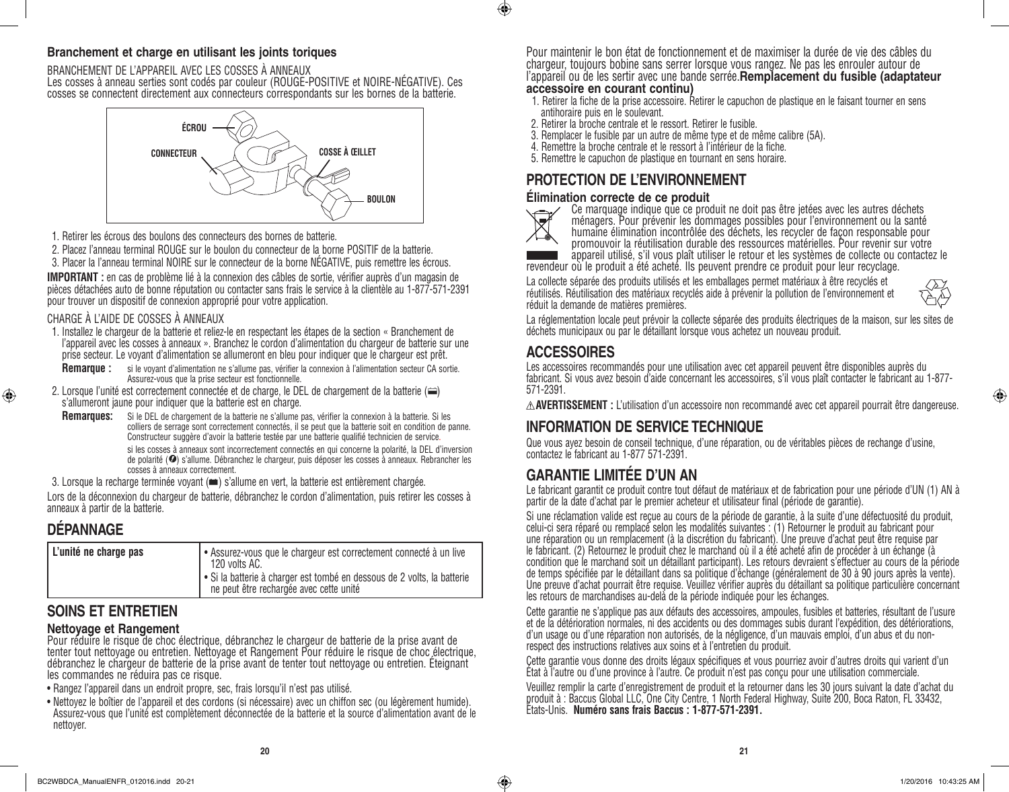### **Branchement et charge en utilisant les joints toriques**

BRANCHEMENT DE L'APPAREIL AVEC LES COSSES À ANNEAUX Les cosses à anneau serties sont codés par couleur (ROUGE-POSITIVE et NOIRE-NÉGATIVE). Ces cosses se connectent directement aux connecteurs correspondants sur les bornes de la batterie.



- 1. Retirer les écrous des boulons des connecteurs des bornes de batterie.
- 2. Placez l'anneau terminal ROUGE sur le boulon du connecteur de la borne POSITIF de la batterie.
- 3. Placer la l'anneau terminal NOIRE sur le connecteur de la borne NÉGATIVE, puis remettre les écrous.

**IMPORTANT :** en cas de problème lié à la connexion des câbles de sortie, vérifier auprès d'un magasin de pièces détachées auto de bonne réputation ou contacter sans frais le service à la clientèle au 1-877-571-2391 pour trouver un dispositif de connexion approprié pour votre application.

### CHARGE À L'AIDE DE COSSES À ANNEAUX

- 1. Installez le chargeur de la batterie et reliez-le en respectant les étapes de la section « Branchement de l'appareil avec les cosses à anneaux ». Branchez le cordon d'alimentation du chargeur de batterie sur une prise secteur. Le voyant d'alimentation se allumeront en bleu pour indiquer que le chargeur est prêt.
	- **Remarque :** si le voyant d'alimentation ne s'allume pas, vérifier la connexion à l'alimentation secteur CA sortie. Assurez-vous que la prise secteur est fonctionnelle.
- 2. Lorsque l'unité est correctement connectée et de charge, le DEL de chargement de la batterie (=) s'allumeront jaune pour indiquer que la batterie est en charge.
	- **Remarques:** Si le DEL de chargement de la batterie ne s'allume pas, vérifier la connexion à la batterie. Si les colliers de serrage sont correctement connectés, il se peut que la batterie soit en condition de panne. Constructeur suggère d'avoir la batterie testée par une batterie qualifié technicien de service. si les cosses à anneaux sont incorrectement connectés en qui concerne la polarité, la DEL d'inversion de polarité ( ) s'allume. Débranchez le chargeur, puis déposer les cosses à anneaux. Rebrancher les cosses à anneaux correctement.
- 3. Lorsque la recharge terminée voyant ( $\equiv$ ) s'allume en vert, la batterie est entièrement chargée.

Lors de la déconnexion du chargeur de batterie, débranchez le cordon d'alimentation, puis retirer les cosses à anneaux à partir de la batterie.

### **DÉPANNAGE**

⊕

| L'unité ne charge pas | Assurez-vous que le chargeur est correctement connecté à un live<br>120 volts AC.<br>Si la batterie à charger est tombé en dessous de 2 volts, la batterie |
|-----------------------|------------------------------------------------------------------------------------------------------------------------------------------------------------|
|                       | ne peut être rechargée avec cette unité                                                                                                                    |

### **SOINS ET ENTRETIEN**

### **Nettoyage et Rangement**

Pour réduire le risque de choc électrique, débranchez le chargeur de batterie de la prise avant de tenter tout nettoyage ou entretien. Nettoyage et Rangement Pour réduire le risque de choc électrique, débranchez le chargeur de batterie de la prise avant de tenter tout nettoyage ou entretien. Éteignant les commandes ne réduira pas ce risque.

- Rangez l'appareil dans un endroit propre, sec, frais lorsqu'il n'est pas utilisé.
- • Nettoyez le boîtier de l'appareil et des cordons (si nécessaire) avec un chiffon sec (ou légèrement humide). Assurez-vous que l'unité est complètement déconnectée de la batterie et la source d'alimentation avant de le nettoyer.

Pour maintenir le bon état de fonctionnement et de maximiser la durée de vie des câbles du chargeur, toujours bobine sans serrer lorsque vous rangez. Ne pas les enrouler autour de l'appareil ou de les sertir avec une bande serrée.**Remplacement du fusible (adaptateur accessoire en courant continu)**

- 1. Retirer la fiche de la prise accessoire. Retirer le capuchon de plastique en le faisant tourner en sens antihoraire puis en le soulevant.
- 2. Retirer la broche centrale et le ressort. Retirer le fusible.
- 3. Remplacer le fusible par un autre de même type et de même calibre (5A).
- 4. Remettre la broche centrale et le ressort à l'intérieur de la fiche.
- 5. Remettre le capuchon de plastique en tournant en sens horaire.

### **PROTECTION DE L'ENVIRONNEMENT**

### **Élimination correcte de ce produit**



 $\bigcirc$ 

Ce marquage indique que ce produit ne doit pas être jetées avec les autres déchets ménagers. Pour prévenir les dommages possibles pour l'environnement ou la santé humaine élimination incontrôlée des déchets, les recycler de façon responsable pour promouvoir la réutilisation durable des ressources matérielles. Pour revenir sur votre

appareil utilisé, s'il vous plaît utiliser le retour et les systèmes de collecte ou contactez le revendeur où le produit a été acheté. Ils peuvent prendre ce produit pour leur recyclage.

La collecte séparée des produits utilisés et les emballages permet matériaux à être recyclés et réutilisés. Réutilisation des matériaux recyclés aide à prévenir la pollution de l'environnement et réduit la demande de matières premières.



⊕

La réglementation locale peut prévoir la collecte séparée des produits électriques de la maison, sur les sites de déchets municipaux ou par le détaillant lorsque vous achetez un nouveau produit.

### **ACCESSOIRES**

Les accessoires recommandés pour une utilisation avec cet appareil peuvent être disponibles auprès du fabricant. Si vous avez besoin d'aide concernant les accessoires, s'il vous plaît contacter le fabricant au 1-877- 571-2391.

**AVERTISSEMENT :** L'utilisation d'un accessoire non recommandé avec cet appareil pourrait être dangereuse.

### **INFORMATION DE SERVICE TECHNIQUE**

Que vous ayez besoin de conseil technique, d'une réparation, ou de véritables pièces de rechange d'usine, contactez le fabricant au 1-877 571-2391.

### **GARANTIE LIMITÉE D'UN AN**

Le fabricant garantit ce produit contre tout défaut de matériaux et de fabrication pour une période d'UN (1) AN à partir de la date d'achat par le premier acheteur et utilisateur final (période de garantie).

Si une réclamation valide est reçue au cours de la période de garantie, à la suite d'une défectuosité du produit, celui-ci sera réparé ou remplacé selon les modalités suivantes : (1) Retourner le produit au fabricant pour une réparation ou un remplacement (à la discrétion du fabricant). Une preuve d'achat peut être requise par le fabricant. (2) Retournez le produit chez le marchand où il a été acheté afin de procéder à un échange (à condition que le marchand soit un détaillant participant). Les retours devraient s'effectuer au cours de la période de temps spécifiée par le détaillant dans sa politique d'échange (généralement de 30 à 90 jours après la vente). Une preuve d'achat pourrait être requise. Veuillez vérifier auprès du détaillant sa politique particulière concernant les retours de marchandises au-delà de la période indiquée pour les échanges.

Cette garantie ne s'applique pas aux défauts des accessoires, ampoules, fusibles et batteries, résultant de l'usure et de la détérioration normales, ni des accidents ou des dommages subis durant l'expédition, des détériorations, d'un usage ou d'une réparation non autorisés, de la négligence, d'un mauvais emploi, d'un abus et du nonrespect des instructions relatives aux soins et à l'entretien du produit.

Cette garantie vous donne des droits légaux spécifiques et vous pourriez avoir d'autres droits qui varient d'un État à l'autre ou d'une province à l'autre. Ce produit n'est pas conçu pour une utilisation commerciale.

Veuillez remplir la carte d'enregistrement de produit et la retourner dans les 30 jours suivant la date d'achat du produit à : Baccus Global LLC, One City Centre, 1 North Federal Highway, Suite 200, Boca Raton, FL 33432, États-Unis. **Numéro sans frais Baccus : 1-877-571-2391.**